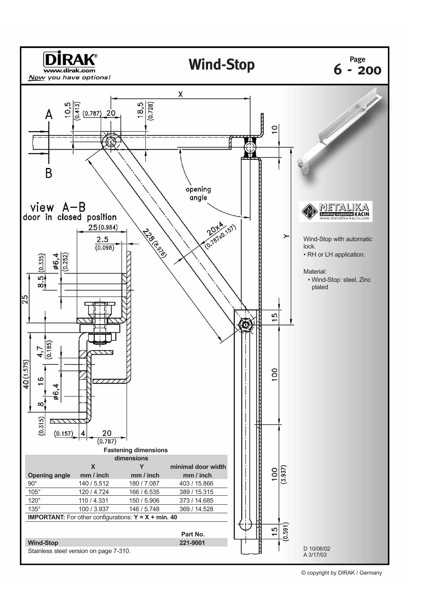

<sup>©</sup> copyright by DIRAK / Germany